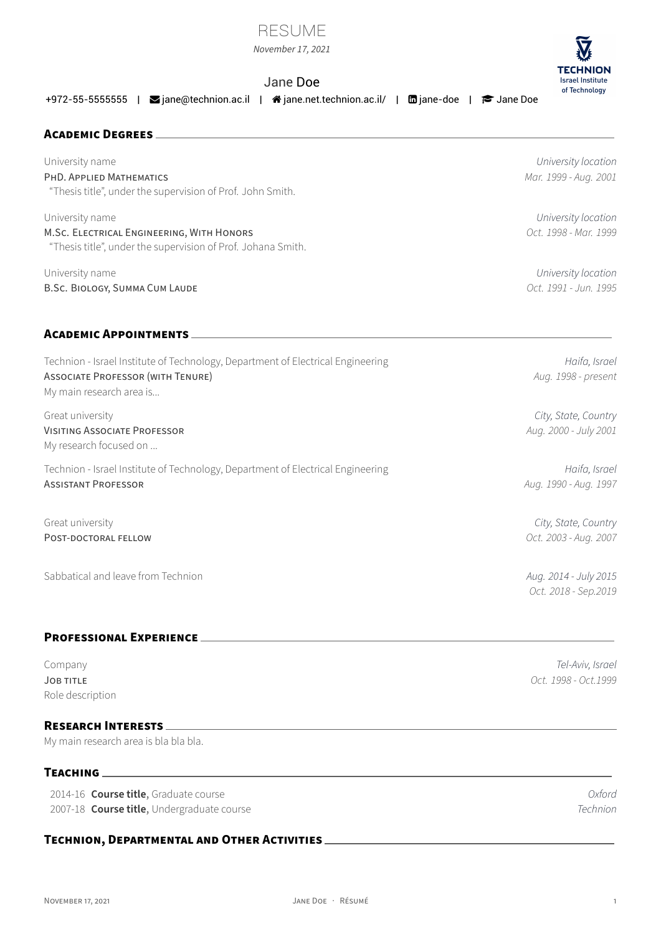|  |  |  | NOVEMBER 17 2021 |  |
|--|--|--|------------------|--|

# RESUME

*November 17, 2021*

# Jane Doe

+972-55-5555555 | **S**iane@technion.ac.il | 音[jane.net.technion.ac.il/](http://jane.net.technion.ac.il/) | 面[jane-doe](https://www.linkedin.com/in/jane-doe) | ● [Jane Doe](https://scholar.google.com/citations?user=Jane Doe)

# **ACADEMiC DEGREES** University name *University location* PHD. APPLiED MATHEMATiCS *Mar. 1999 ‑ Aug. 2001*

"Thesis title", under the supervision of Prof. John Smith.

University name *University location* M.SC. ELECTRiCAL ENGiNEERiNG, WiTH HONORS *Oct. 1998 ‑ Mar. 1999* "Thesis title", under the supervision of Prof. Johana Smith.

University name *University location* B.SC. BiOLOGY, SUMMA CUM LAUDE *Oct. 1991 ‑ Jun. 1995*

# **ACADEMiC APPOiNTMENTS**

| Technion - Israel Institute of Technology, Department of Electrical Engineering<br><b>ASSOCIATE PROFESSOR (WITH TENURE)</b><br>My main research area is | Haifa, Israel<br>Aug. 1998 - present          |
|---------------------------------------------------------------------------------------------------------------------------------------------------------|-----------------------------------------------|
| Great university<br><b>VISITING ASSOCIATE PROFESSOR</b><br>My research focused on                                                                       | City, State, Country<br>Aug. 2000 - July 2001 |
| Technion - Israel Institute of Technology, Department of Electrical Engineering<br><b>ASSISTANT PROFESSOR</b>                                           | Haifa, Israel<br>Aug. 1990 - Aug. 1997        |
| Great university<br>POST-DOCTORAL FELLOW                                                                                                                | City, State, Country<br>Oct. 2003 - Aug. 2007 |
| Sabbatical and leave from Technion                                                                                                                      | Aug. 2014 - July 2015<br>Oct. 2018 - Sep.2019 |

# **PROFESSiONAL EXPERiENCE**

Company *Tel‑Aviv, Israel* JOB TiTLE *Oct. 1998 ‑ Oct.1999* Role description

# **RESEARCH INTERESTS**

My main research area is bla bla bla.

# **TEACHiNG**

2014‑16 **Course title**, Graduate course *Oxford* 2007‑18 **Course title**, Undergraduate course *Technion*

# **TECHNiON, DEPARTMENTAL AND OTHER ACTiViTiES**



NOVEMBER 17, 2021 JANE DOE · RÉSUMÉ 1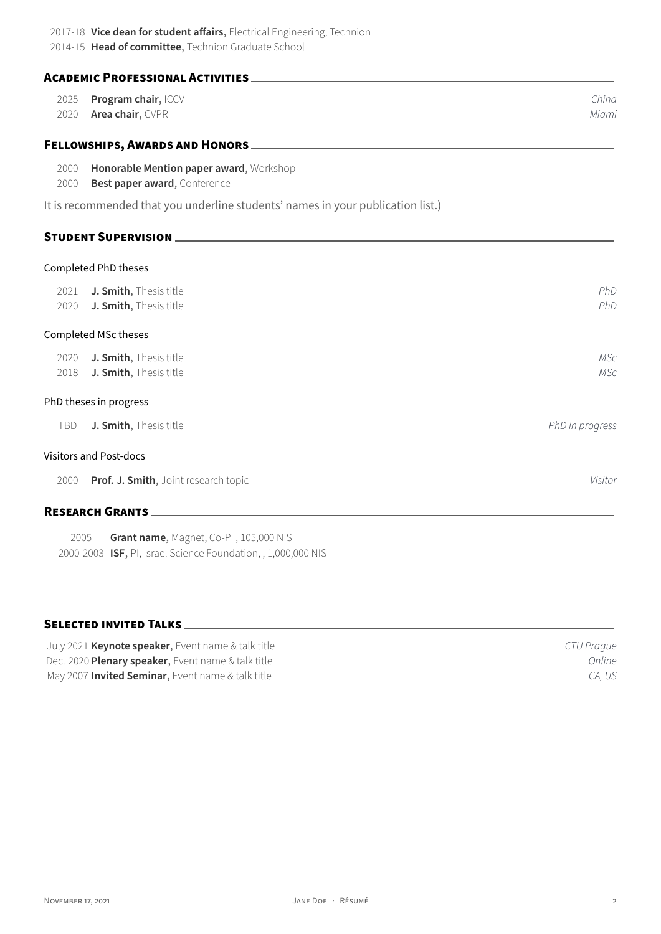**ACADEMiC PROFESSiONAL ACTiViTiES**

| 2025         | Program chair, ICCV                                                             | China           |
|--------------|---------------------------------------------------------------------------------|-----------------|
| 2020         | Area chair, CVPR                                                                | Miami           |
|              |                                                                                 |                 |
| 2000<br>2000 | Honorable Mention paper award, Workshop<br>Best paper award, Conference         |                 |
|              | It is recommended that you underline students' names in your publication list.) |                 |
|              |                                                                                 |                 |
|              | Completed PhD theses                                                            |                 |
| 2021         | J. Smith, Thesis title                                                          | PhD             |
| 2020         | J. Smith, Thesis title                                                          | PhD             |
|              | Completed MSc theses                                                            |                 |
| 2020         | J. Smith, Thesis title                                                          | <b>MSc</b>      |
| 2018         | J. Smith, Thesis title                                                          | <b>MSc</b>      |
|              | PhD theses in progress                                                          |                 |
| TBD          | J. Smith, Thesis title                                                          | PhD in progress |
|              | <b>Visitors and Post-docs</b>                                                   |                 |
| 2000         | Prof. J. Smith, Joint research topic                                            | Visitor         |

# **RESEARCH GRANTS**

2005 **Grant name**, Magnet, Co‑PI , 105,000 NIS 2000‑2003 **ISF**, PI, Israel Science Foundation, , 1,000,000 NIS

# **SELECTED iNViTED TALKS**

| July 2021 Keynote speaker, Event name & talk title        | CTU Prague |
|-----------------------------------------------------------|------------|
| Dec. 2020 Plenary speaker, Event name & talk title        | Online     |
| May 2007 <b>Invited Seminar</b> , Event name & talk title | CA. US     |